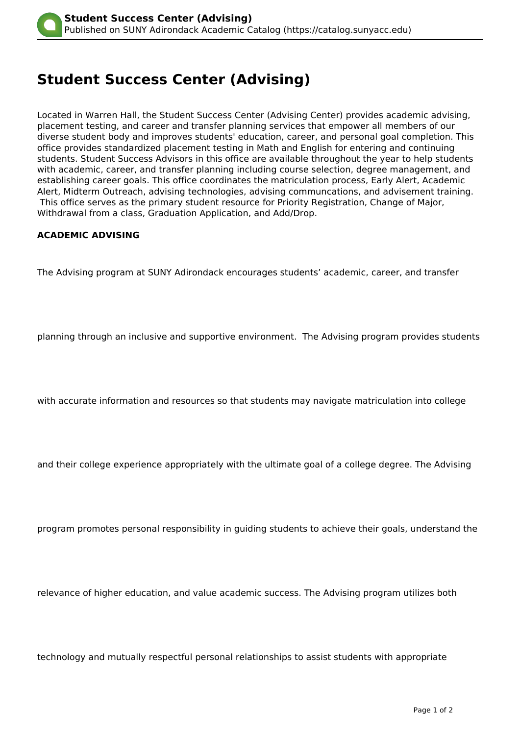## **Student Success Center (Advising)**

Located in Warren Hall, the Student Success Center (Advising Center) provides academic advising, placement testing, and career and transfer planning services that empower all members of our diverse student body and improves students' education, career, and personal goal completion. This office provides standardized placement testing in Math and English for entering and continuing students. Student Success Advisors in this office are available throughout the year to help students with academic, career, and transfer planning including course selection, degree management, and establishing career goals. This office coordinates the matriculation process, Early Alert, Academic Alert, Midterm Outreach, advising technologies, advising communcations, and advisement training. This office serves as the primary student resource for Priority Registration, Change of Major, Withdrawal from a class, Graduation Application, and Add/Drop.

## **ACADEMIC ADVISING**

The Advising program at SUNY Adirondack encourages students' academic, career, and transfer

planning through an inclusive and supportive environment. The Advising program provides students

with accurate information and resources so that students may navigate matriculation into college

and their college experience appropriately with the ultimate goal of a college degree. The Advising

program promotes personal responsibility in guiding students to achieve their goals, understand the

relevance of higher education, and value academic success. The Advising program utilizes both

technology and mutually respectful personal relationships to assist students with appropriate